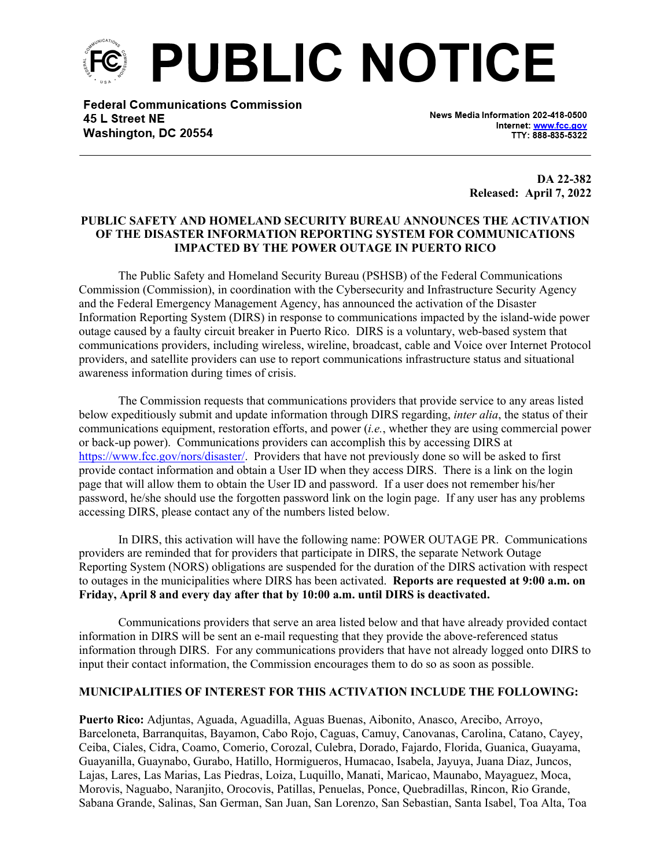

**Federal Communications Commission** 45 L Street NE Washington, DC 20554

News Media Information 202-418-0500 Internet: www.fcc.gov TTY: 888-835-5322

> **DA 22-382 Released: April 7, 2022**

## **PUBLIC SAFETY AND HOMELAND SECURITY BUREAU ANNOUNCES THE ACTIVATION OF THE DISASTER INFORMATION REPORTING SYSTEM FOR COMMUNICATIONS IMPACTED BY THE POWER OUTAGE IN PUERTO RICO**

The Public Safety and Homeland Security Bureau (PSHSB) of the Federal Communications Commission (Commission), in coordination with the Cybersecurity and Infrastructure Security Agency and the Federal Emergency Management Agency, has announced the activation of the Disaster Information Reporting System (DIRS) in response to communications impacted by the island-wide power outage caused by a faulty circuit breaker in Puerto Rico. DIRS is a voluntary, web-based system that communications providers, including wireless, wireline, broadcast, cable and Voice over Internet Protocol providers, and satellite providers can use to report communications infrastructure status and situational awareness information during times of crisis.

The Commission requests that communications providers that provide service to any areas listed below expeditiously submit and update information through DIRS regarding, *inter alia*, the status of their communications equipment, restoration efforts, and power (*i.e.*, whether they are using commercial power or back-up power). Communications providers can accomplish this by accessing DIRS at [https://www.fcc.gov/nors/disaster/.](https://www.fcc.gov/nors/disaster/) Providers that have not previously done so will be asked to first provide contact information and obtain a User ID when they access DIRS. There is a link on the login page that will allow them to obtain the User ID and password. If a user does not remember his/her password, he/she should use the forgotten password link on the login page. If any user has any problems accessing DIRS, please contact any of the numbers listed below.

In DIRS, this activation will have the following name: POWER OUTAGE PR. Communications providers are reminded that for providers that participate in DIRS, the separate Network Outage Reporting System (NORS) obligations are suspended for the duration of the DIRS activation with respect to outages in the municipalities where DIRS has been activated. **Reports are requested at 9:00 a.m. on Friday, April 8 and every day after that by 10:00 a.m. until DIRS is deactivated.**

Communications providers that serve an area listed below and that have already provided contact information in DIRS will be sent an e-mail requesting that they provide the above-referenced status information through DIRS. For any communications providers that have not already logged onto DIRS to input their contact information, the Commission encourages them to do so as soon as possible.

## **MUNICIPALITIES OF INTEREST FOR THIS ACTIVATION INCLUDE THE FOLLOWING:**

**Puerto Rico:** Adjuntas, Aguada, Aguadilla, Aguas Buenas, Aibonito, Anasco, Arecibo, Arroyo, Barceloneta, Barranquitas, Bayamon, Cabo Rojo, Caguas, Camuy, Canovanas, Carolina, Catano, Cayey, Ceiba, Ciales, Cidra, Coamo, Comerio, Corozal, Culebra, Dorado, Fajardo, Florida, Guanica, Guayama, Guayanilla, Guaynabo, Gurabo, Hatillo, Hormigueros, Humacao, Isabela, Jayuya, Juana Diaz, Juncos, Lajas, Lares, Las Marias, Las Piedras, Loiza, Luquillo, Manati, Maricao, Maunabo, Mayaguez, Moca, Morovis, Naguabo, Naranjito, Orocovis, Patillas, Penuelas, Ponce, Quebradillas, Rincon, Rio Grande, Sabana Grande, Salinas, San German, San Juan, San Lorenzo, San Sebastian, Santa Isabel, Toa Alta, Toa